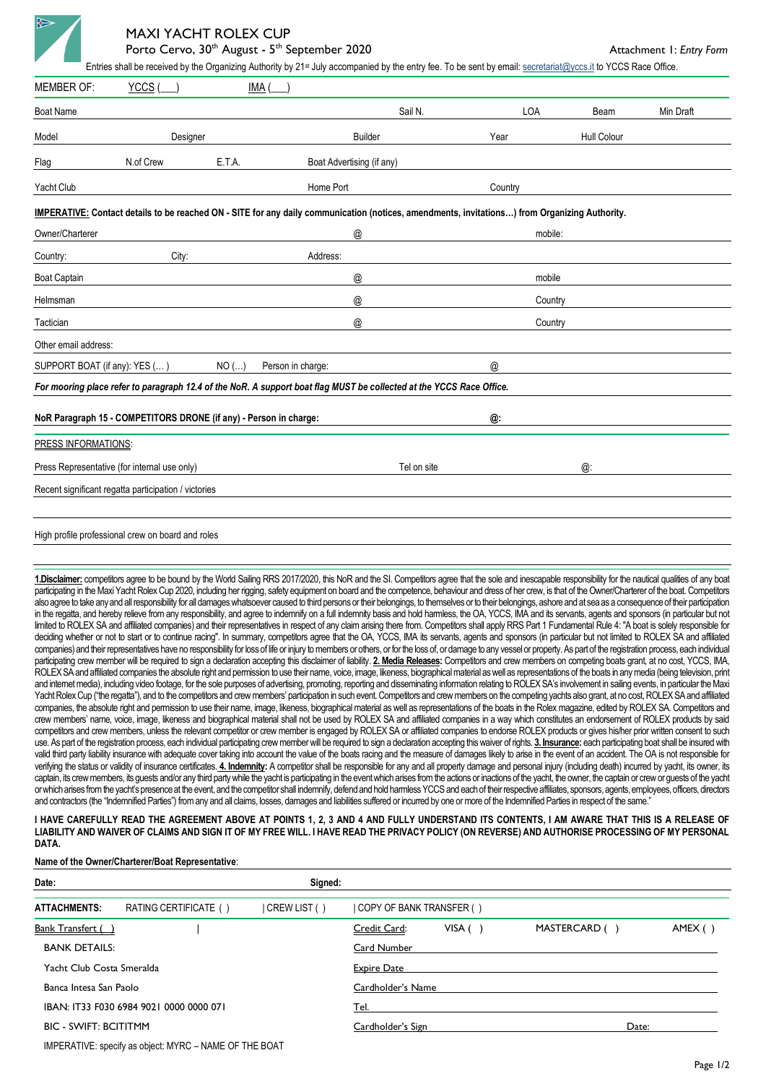

# MAXI YACHT ROLEX CUP

Porto Cervo, 30<sup>th</sup> August - 5<sup>th</sup> September 2020

**Attachment 1: Entry Form** 

| <b>MEMBER OF:</b>                                                                                                                             | YCCS                                                 | <b>IMA</b>                   |                                                                                                                      |             |         |             |           |  |  |  |  |  |
|-----------------------------------------------------------------------------------------------------------------------------------------------|------------------------------------------------------|------------------------------|----------------------------------------------------------------------------------------------------------------------|-------------|---------|-------------|-----------|--|--|--|--|--|
| <b>Boat Name</b>                                                                                                                              |                                                      |                              | Sail N.                                                                                                              |             | LOA     | Beam        | Min Draft |  |  |  |  |  |
| Model                                                                                                                                         | Designer                                             |                              | <b>Builder</b>                                                                                                       | Year        |         | Hull Colour |           |  |  |  |  |  |
| Flag                                                                                                                                          | N.of Crew                                            | E.T.A.                       | Boat Advertising (if any)                                                                                            |             |         |             |           |  |  |  |  |  |
| Yacht Club                                                                                                                                    |                                                      |                              | Home Port                                                                                                            | Country     |         |             |           |  |  |  |  |  |
| IMPERATIVE: Contact details to be reached ON - SITE for any daily communication (notices, amendments, invitations) from Organizing Authority. |                                                      |                              |                                                                                                                      |             |         |             |           |  |  |  |  |  |
| Owner/Charterer                                                                                                                               |                                                      |                              | $^\copyright$                                                                                                        |             | mobile: |             |           |  |  |  |  |  |
| Country:                                                                                                                                      | City:                                                |                              | Address:                                                                                                             |             |         |             |           |  |  |  |  |  |
| <b>Boat Captain</b>                                                                                                                           |                                                      |                              | @                                                                                                                    |             | mobile  |             |           |  |  |  |  |  |
| Helmsman                                                                                                                                      |                                                      |                              | $^\copyright$                                                                                                        |             | Country |             |           |  |  |  |  |  |
| Tactician                                                                                                                                     |                                                      |                              | @                                                                                                                    |             | Country |             |           |  |  |  |  |  |
| Other email address:                                                                                                                          |                                                      |                              |                                                                                                                      |             |         |             |           |  |  |  |  |  |
| SUPPORT BOAT (if any): YES ()                                                                                                                 |                                                      | $NO$ ()<br>Person in charge: | @                                                                                                                    |             |         |             |           |  |  |  |  |  |
|                                                                                                                                               |                                                      |                              | For mooring place refer to paragraph 12.4 of the NoR. A support boat flag MUST be collected at the YCCS Race Office. |             |         |             |           |  |  |  |  |  |
| NoR Paragraph 15 - COMPETITORS DRONE (if any) - Person in charge:<br>@:                                                                       |                                                      |                              |                                                                                                                      |             |         |             |           |  |  |  |  |  |
| PRESS INFORMATIONS:                                                                                                                           |                                                      |                              |                                                                                                                      |             |         |             |           |  |  |  |  |  |
|                                                                                                                                               | Press Representative (for internal use only)         |                              |                                                                                                                      | Tel on site |         | @:          |           |  |  |  |  |  |
|                                                                                                                                               | Recent significant regatta participation / victories |                              |                                                                                                                      |             |         |             |           |  |  |  |  |  |
|                                                                                                                                               |                                                      |                              |                                                                                                                      |             |         |             |           |  |  |  |  |  |
|                                                                                                                                               | High profile professional crew on board and roles    |                              |                                                                                                                      |             |         |             |           |  |  |  |  |  |

**1.Disclaimer:** competitors agree to be bound by the World Sailing RRS 2017/2020, this NoR and the SI. Competitors agree that the sole and inescapable responsibility for the nautical qualities of any boat participating in the Maxi Yacht Rolex Cup 2020, including her rigging, safety equipment on board and the competence, behaviour and dress of her crew, is that of the Owner/Charterer of the boat. Competitors also agree to take any and all responsibility for all damages whatsoever caused to third persons or their belongings, to themselves or to their belongings, ashore and at sea as a consequence of their participation in the regatta, and hereby relieve from any responsibility, and agree to indemnify on a full indemnity basis and hold harmless, the OA, YCCS, IMA and its servants, agents and sponsors (in particular but not limited to ROLEX SA and affiliated companies) and their representatives in respect of any claim arising there from. Competitors shall apply RRS Part 1 Fundamental Rule 4: "A boat is solely responsible for deciding whether or not to start or to continue racing". In summary, competitors agree that the OA, YCCS, IMA its servants, agents and sponsors (in particular but not limited to ROLEX SA and affiliated companies) and their representatives have no responsibility for loss of life or injury to members or others, or for the loss of, or damage to any vessel or property. As part of the registration process, each individual participating crew member will be required to sign a declaration accepting this disclaimer of liability. **2. Media Releases:** Competitors and crew members on competing boats grant, at no cost, YCCS, IMA, ROLEX SA and affiliated companies the absolute right and permission to use their name, voice, image, likeness, biographical material as well as representations of the boats in any media (being television, print and internet media), including video footage, for the sole purposes of advertising, promoting, reporting and disseminating information relating to ROLEX SA's involvement in sailing events, in particular the Maxi Yacht Rolex Cup ("the regatta"), and to the competitors and crew members' participation in such event. Competitors and crew members on the competing yachts also grant, at no cost, ROLEX SA and affiliated companies, the absolute right and permission to use their name, image, likeness, biographical material as well as representations of the boats in the Rolex magazine, edited by ROLEX SA. Competitors and crew members' name, voice, image, likeness and biographical material shall not be used by ROLEX SA and affiliated companies in a way which constitutes an endorsement of ROLEX products by said competitors and crew members, unless the relevant competitor or crew member is engaged by ROLEX SA or affiliated companies to endorse ROLEX products or gives his/her prior written consent to such use. As part of the registration process, each individual participating crew member will be required to sign a declaration accepting this waiver of rights. **3. Insurance:** each participating boat shall be insured with valid third party liability insurance with adequate cover taking into account the value of the boats racing and the measure of damages likely to arise in the event of an accident. The OA is not responsible for verifying the status or validity of insurance certificates. 4. Indemnity: A competitor shall be responsible for any and all property damage and personal injury (including death) incurred by yacht, its owner, its captain, its crew members, its quests and/or any third party while the yacht is participating in the event which arises from the actions or inactions of the yacht, the owner, the captain or crew or quests of the yacht or which arises from the yacht's presence at the event, and the competitor shall indemnify, defend and hold harmless YCCS and each of their respective affiliates, sponsors, agents, employees, officers, directors and contractors (the "Indemnified Parties") from any and all claims, losses, damages and liabilities suffered or incurred by one or more of the Indemnified Parties in respect of the same.

**I HAVE CAREFULLY READ THE AGREEMENT ABOVE AT POINTS 1, 2, 3 AND 4 AND FULLY UNDERSTAND ITS CONTENTS, I AM AWARE THAT THIS IS A RELEASE OF LIABILITY AND WAIVER OF CLAIMS AND SIGN IT OF MY FREE WILL. I HAVE READ THE PRIVACY POLICY (ON REVERSE) AND AUTHORISE PROCESSING OF MY PERSONAL DATA.** 

#### **Name of the Owner/Charterer/Boat Representative**:

| Date:                        |                                                        | Signed:            |                          |        |               |       |        |  |  |
|------------------------------|--------------------------------------------------------|--------------------|--------------------------|--------|---------------|-------|--------|--|--|
| <b>ATTACHMENTS:</b>          | RATING CERTIFICATE ()                                  | CREW LIST ()       | COPY OF BANK TRANSFER () |        |               |       |        |  |  |
| <b>Bank Transfert ()</b>     |                                                        |                    | Credit Card:             | VISA() | MASTERCARD () |       | AMEX() |  |  |
| <b>BANK DETAILS:</b>         |                                                        |                    | Card Number              |        |               |       |        |  |  |
| Yacht Club Costa Smeralda    |                                                        | <b>Expire Date</b> |                          |        |               |       |        |  |  |
| Banca Intesa San Paolo       |                                                        |                    | Cardholder's Name        |        |               |       |        |  |  |
|                              | IBAN: IT33 F030 6984 9021 0000 0000 071                | Tel.               |                          |        |               |       |        |  |  |
| <b>BIC - SWIFT: BCITITMM</b> |                                                        |                    | Cardholder's Sign        |        |               | Date: |        |  |  |
|                              | IMPERATIVE: specify as object: MYRC - NAME OF THE BOAT |                    |                          |        |               |       |        |  |  |